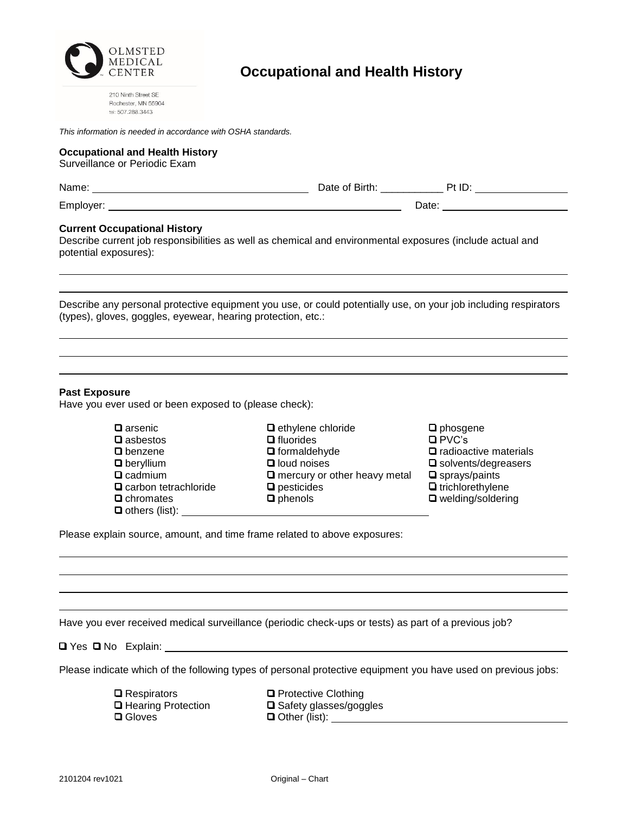

210 Ninth Street SE<br>Rochester, MN 55904<br>tel: 507.288.3443

| This information is needed in accordance with OSHA standards.                                                                                                                                                 |                                                                                                                                                  |                                                                                                                                                                                                                                      |
|---------------------------------------------------------------------------------------------------------------------------------------------------------------------------------------------------------------|--------------------------------------------------------------------------------------------------------------------------------------------------|--------------------------------------------------------------------------------------------------------------------------------------------------------------------------------------------------------------------------------------|
| <b>Occupational and Health History</b><br>Surveillance or Periodic Exam                                                                                                                                       |                                                                                                                                                  |                                                                                                                                                                                                                                      |
|                                                                                                                                                                                                               |                                                                                                                                                  |                                                                                                                                                                                                                                      |
|                                                                                                                                                                                                               |                                                                                                                                                  | Date: <u>with the set of the set of the set of the set of the set of the set of the set of the set of the set of the set of the set of the set of the set of the set of the set of the set of the set of the set of the set of t</u> |
| <b>Current Occupational History</b><br>Describe current job responsibilities as well as chemical and environmental exposures (include actual and<br>potential exposures):                                     |                                                                                                                                                  |                                                                                                                                                                                                                                      |
| Describe any personal protective equipment you use, or could potentially use, on your job including respirators<br>(types), gloves, goggles, eyewear, hearing protection, etc.:                               |                                                                                                                                                  |                                                                                                                                                                                                                                      |
| <b>Past Exposure</b><br>Have you ever used or been exposed to (please check):<br>$\square$ arsenic<br>$\square$ asbestos<br>□ benzene<br>$\Box$ beryllium<br>$\square$ cadmium<br>$\Box$ carbon tetrachloride | □ ethylene chloride<br>$\Box$ fluorides<br>$\Box$ formaldehyde<br>$\Box$ loud noises<br>$\Box$ mercury or other heavy metal<br>$\Box$ pesticides | $\square$ phosgene<br>$\square$ PVC's<br>$\Box$ radioactive materials<br>$\square$ solvents/degreasers<br>$\square$ sprays/paints<br>□ trichlorethylene                                                                              |
| $\Box$ chromates<br>$\Box$ others (list): $\Box$<br>Please explain source, amount, and time frame related to above exposures:                                                                                 | $\Box$ phenols                                                                                                                                   | □ welding/soldering                                                                                                                                                                                                                  |
|                                                                                                                                                                                                               |                                                                                                                                                  |                                                                                                                                                                                                                                      |
| Have you ever received medical surveillance (periodic check-ups or tests) as part of a previous job?                                                                                                          |                                                                                                                                                  |                                                                                                                                                                                                                                      |
| Please indicate which of the following types of personal protective equipment you have used on previous jobs:                                                                                                 |                                                                                                                                                  |                                                                                                                                                                                                                                      |
| $\Box$ Respirators<br>□ Hearing Protection<br><b>□</b> Gloves                                                                                                                                                 | □ Protective Clothing<br>□ Safety glasses/goggles                                                                                                |                                                                                                                                                                                                                                      |